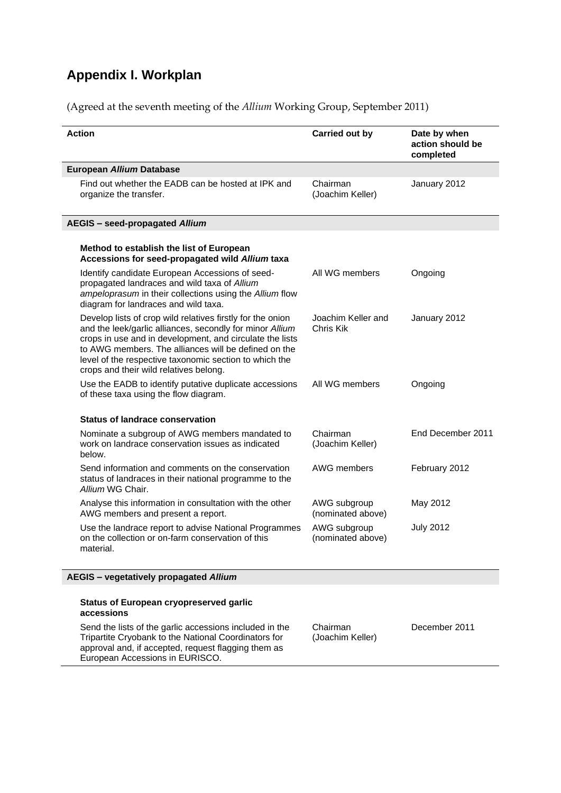## **Appendix I. Workplan**

(Agreed at the seventh meeting of the *Allium* Working Group, September 2011)

| <b>Action</b>                                                                                                                                                                                                                                                                                                                                  | <b>Carried out by</b>             | Date by when<br>action should be<br>completed |
|------------------------------------------------------------------------------------------------------------------------------------------------------------------------------------------------------------------------------------------------------------------------------------------------------------------------------------------------|-----------------------------------|-----------------------------------------------|
| European Allium Database                                                                                                                                                                                                                                                                                                                       |                                   |                                               |
| Find out whether the EADB can be hosted at IPK and<br>organize the transfer.                                                                                                                                                                                                                                                                   | Chairman<br>(Joachim Keller)      | January 2012                                  |
| <b>AEGIS</b> - seed-propagated Allium                                                                                                                                                                                                                                                                                                          |                                   |                                               |
| Method to establish the list of European<br>Accessions for seed-propagated wild Allium taxa                                                                                                                                                                                                                                                    |                                   |                                               |
| Identify candidate European Accessions of seed-<br>propagated landraces and wild taxa of Allium<br>ampeloprasum in their collections using the Allium flow<br>diagram for landraces and wild taxa.                                                                                                                                             | All WG members                    | Ongoing                                       |
| Develop lists of crop wild relatives firstly for the onion<br>and the leek/garlic alliances, secondly for minor Allium<br>crops in use and in development, and circulate the lists<br>to AWG members. The alliances will be defined on the<br>level of the respective taxonomic section to which the<br>crops and their wild relatives belong. | Joachim Keller and<br>Chris Kik   | January 2012                                  |
| Use the EADB to identify putative duplicate accessions<br>of these taxa using the flow diagram.                                                                                                                                                                                                                                                | All WG members                    | Ongoing                                       |
| <b>Status of landrace conservation</b>                                                                                                                                                                                                                                                                                                         |                                   |                                               |
| Nominate a subgroup of AWG members mandated to<br>work on landrace conservation issues as indicated<br>below.                                                                                                                                                                                                                                  | Chairman<br>(Joachim Keller)      | End December 2011                             |
| Send information and comments on the conservation<br>status of landraces in their national programme to the<br>Allium WG Chair.                                                                                                                                                                                                                | AWG members                       | February 2012                                 |
| Analyse this information in consultation with the other<br>AWG members and present a report.                                                                                                                                                                                                                                                   | AWG subgroup<br>(nominated above) | May 2012                                      |
| Use the landrace report to advise National Programmes<br>on the collection or on-farm conservation of this<br>material.                                                                                                                                                                                                                        | AWG subgroup<br>(nominated above) | <b>July 2012</b>                              |
| AEGIS - vegetatively propagated Allium                                                                                                                                                                                                                                                                                                         |                                   |                                               |
| <b>Status of European cryopreserved garlic</b><br>accessions                                                                                                                                                                                                                                                                                   |                                   |                                               |
| Send the lists of the garlic accessions included in the<br>Tripartite Cryobank to the National Coordinators for<br>approval and, if accepted, request flagging them as<br>European Accessions in EURISCO.                                                                                                                                      | Chairman<br>(Joachim Keller)      | December 2011                                 |